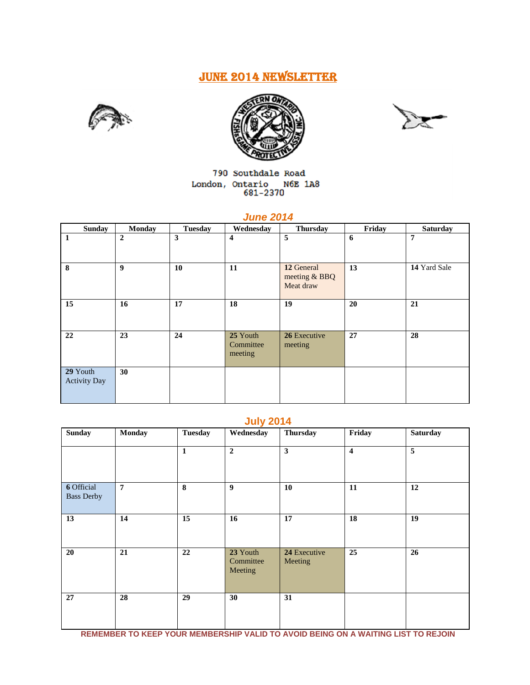# JUNE 2014 NEWSLETTER







790 Southdale Road  $\begin{tabular}{ll} London, Ontario & M6E 1A8 \\ & 681-2370 \\ \end{tabular}$ 

# *June 2014*

| <b>Sunday</b>                   | <b>Monday</b>    | <b>Tuesday</b> | Wednesday                        | <b>Thursday</b>                          | Friday | <b>Saturday</b> |
|---------------------------------|------------------|----------------|----------------------------------|------------------------------------------|--------|-----------------|
| $\mathbf{1}$                    | $\overline{2}$   | 3              | 4                                | 5                                        | 6      | 7               |
| 8                               | $\boldsymbol{9}$ | 10             | 11                               | 12 General<br>meeting & BBQ<br>Meat draw | 13     | 14 Yard Sale    |
| 15                              | 16               | 17             | 18                               | 19                                       | 20     | 21              |
| 22                              | 23               | 24             | 25 Youth<br>Committee<br>meeting | 26 Executive<br>meeting                  | 27     | 28              |
| 29 Youth<br><b>Activity Day</b> | 30               |                |                                  |                                          |        |                 |

# **July 2014**

| <b>Sunday</b>                          | <b>Monday</b>  | <b>Tuesday</b> | Wednesday                        | <b>Thursday</b>         | Friday                  | <b>Saturday</b> |
|----------------------------------------|----------------|----------------|----------------------------------|-------------------------|-------------------------|-----------------|
|                                        |                | $\mathbf{1}$   | $\overline{2}$                   | 3                       | $\overline{\mathbf{4}}$ | $\overline{5}$  |
| <b>6</b> Official<br><b>Bass Derby</b> | $\overline{7}$ | 8              | 9                                | 10                      | 11                      | 12              |
| 13                                     | 14             | 15             | 16                               | 17                      | 18                      | 19              |
| 20                                     | 21             | 22             | 23 Youth<br>Committee<br>Meeting | 24 Executive<br>Meeting | 25                      | 26              |
| 27                                     | 28             | 29             | 30                               | 31                      |                         |                 |

**REMEMBER TO KEEP YOUR MEMBERSHIP VALID TO AVOID BEING ON A WAITING LIST TO REJOIN**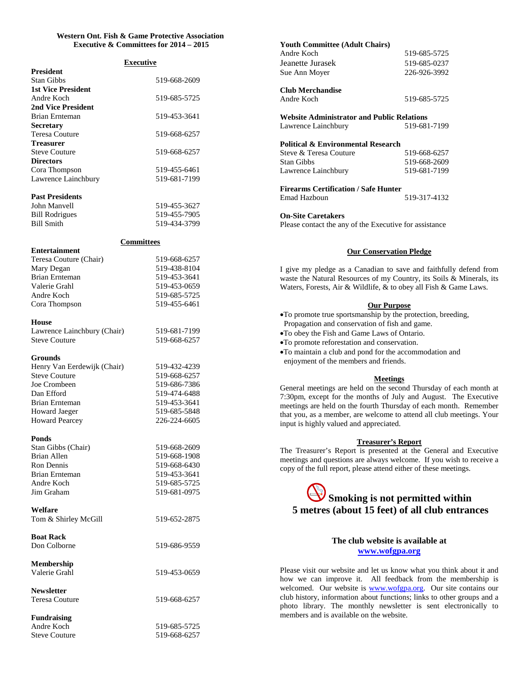# **Western Ont. Fish & Game Protective Association Executive & Committees for 2014 – 2015**

| <b>Executive</b>                 |              |  |  |
|----------------------------------|--------------|--|--|
| <b>President</b>                 |              |  |  |
| <b>Stan Gibbs</b>                | 519-668-2609 |  |  |
| <b>1st Vice President</b>        |              |  |  |
| Andre Koch<br>2nd Vice President | 519-685-5725 |  |  |
| Brian Ernteman                   | 519-453-3641 |  |  |
| <b>Secretary</b>                 |              |  |  |
| Teresa Couture                   | 519-668-6257 |  |  |
| Treasurer                        |              |  |  |
| <b>Steve Couture</b>             | 519-668-6257 |  |  |
| <b>Directors</b>                 |              |  |  |
| Cora Thompson                    | 519-455-6461 |  |  |
| Lawrence Lainchbury              | 519-681-7199 |  |  |
| <b>Past Presidents</b>           |              |  |  |
| John Manvell                     | 519-455-3627 |  |  |
| <b>Bill Rodrigues</b>            | 519-455-7905 |  |  |
| <b>Bill Smith</b>                | 519-434-3799 |  |  |
|                                  |              |  |  |
| <b>Committees</b>                |              |  |  |
| Entertainment                    |              |  |  |
| Teresa Couture (Chair)           | 519-668-6257 |  |  |
| Mary Degan                       | 519-438-8104 |  |  |
| <b>Brian Ernteman</b>            | 519-453-3641 |  |  |
| Valerie Grahl                    | 519-453-0659 |  |  |
| Andre Koch                       | 519-685-5725 |  |  |
| Cora Thompson                    | 519-455-6461 |  |  |
| House                            |              |  |  |
| Lawrence Lainchbury (Chair)      | 519-681-7199 |  |  |
| <b>Steve Couture</b>             | 519-668-6257 |  |  |
|                                  |              |  |  |
| Grounds                          |              |  |  |
| Henry Van Eerdewijk (Chair)      | 519-432-4239 |  |  |
| <b>Steve Couture</b>             | 519-668-6257 |  |  |
| Joe Crombeen                     | 519-686-7386 |  |  |
| Dan Efford                       | 519-474-6488 |  |  |
| <b>Brian Ernteman</b>            | 519-453-3641 |  |  |
| <b>Howard Jaeger</b>             | 519-685-5848 |  |  |
| <b>Howard Pearcey</b>            | 226-224-6605 |  |  |
| <b>Ponds</b>                     |              |  |  |
| Stan Gibbs (Chair)               | 519-668-2609 |  |  |
| Brian Allen                      | 519-668-1908 |  |  |
| Ron Dennis                       | 519-668-6430 |  |  |
| <b>Brian Ernteman</b>            | 519-453-3641 |  |  |
| Andre Koch                       | 519-685-5725 |  |  |
| Jim Graham                       | 519-681-0975 |  |  |
|                                  |              |  |  |
| Welfare                          | 519-652-2875 |  |  |
| Tom & Shirley McGill             |              |  |  |
| <b>Boat Rack</b>                 |              |  |  |
| Don Colborne                     | 519-686-9559 |  |  |
|                                  |              |  |  |
| Membership                       |              |  |  |
| Valerie Grahl                    | 519-453-0659 |  |  |
| <b>Newsletter</b>                |              |  |  |
| Teresa Couture                   | 519-668-6257 |  |  |
|                                  |              |  |  |
| <b>Fundraising</b>               |              |  |  |
| Andre Koch                       | 519-685-5725 |  |  |
| <b>Steve Couture</b>             | 519-668-6257 |  |  |

| <b>Youth Committee (Adult Chairs)</b>                                                                                                                                                                                                                                                                           |                                                                                                                                                                                                                                                                                  |
|-----------------------------------------------------------------------------------------------------------------------------------------------------------------------------------------------------------------------------------------------------------------------------------------------------------------|----------------------------------------------------------------------------------------------------------------------------------------------------------------------------------------------------------------------------------------------------------------------------------|
| Andre Koch                                                                                                                                                                                                                                                                                                      | 519-685-5725                                                                                                                                                                                                                                                                     |
| Jeanette Jurasek                                                                                                                                                                                                                                                                                                | 519-685-0237                                                                                                                                                                                                                                                                     |
| Sue Ann Moyer                                                                                                                                                                                                                                                                                                   | 226-926-3992                                                                                                                                                                                                                                                                     |
| <b>Club Merchandise</b>                                                                                                                                                                                                                                                                                         |                                                                                                                                                                                                                                                                                  |
| Andre Koch                                                                                                                                                                                                                                                                                                      | 519-685-5725                                                                                                                                                                                                                                                                     |
| <b>Website Administrator and Public Relations</b>                                                                                                                                                                                                                                                               |                                                                                                                                                                                                                                                                                  |
| Lawrence Lainchbury                                                                                                                                                                                                                                                                                             | 519-681-7199                                                                                                                                                                                                                                                                     |
| <b>Political &amp; Environmental Research</b>                                                                                                                                                                                                                                                                   |                                                                                                                                                                                                                                                                                  |
| Steve & Teresa Couture                                                                                                                                                                                                                                                                                          | 519-668-6257                                                                                                                                                                                                                                                                     |
| <b>Stan Gibbs</b>                                                                                                                                                                                                                                                                                               | 519-668-2609                                                                                                                                                                                                                                                                     |
| Lawrence Lainchbury                                                                                                                                                                                                                                                                                             | 519-681-7199                                                                                                                                                                                                                                                                     |
| <b>Firearms Certification / Safe Hunter</b>                                                                                                                                                                                                                                                                     |                                                                                                                                                                                                                                                                                  |
| Emad Hazboun                                                                                                                                                                                                                                                                                                    | 519-317-4132                                                                                                                                                                                                                                                                     |
| <b>On-Site Caretakers</b>                                                                                                                                                                                                                                                                                       |                                                                                                                                                                                                                                                                                  |
| Please contact the any of the Executive for assistance                                                                                                                                                                                                                                                          |                                                                                                                                                                                                                                                                                  |
|                                                                                                                                                                                                                                                                                                                 |                                                                                                                                                                                                                                                                                  |
|                                                                                                                                                                                                                                                                                                                 | <b>Our Conservation Pledge</b>                                                                                                                                                                                                                                                   |
| Waters, Forests, Air & Wildlife, & to obey all Fish & Game Laws.                                                                                                                                                                                                                                                | I give my pledge as a Canadian to save and faithfully defend from<br>waste the Natural Resources of my Country, its Soils & Minerals, its                                                                                                                                        |
| .To promote true sportsmanship by the protection, breeding,<br>Propagation and conservation of fish and game.<br>.To obey the Fish and Game Laws of Ontario.<br>•To promote reforestation and conservation.<br>. To maintain a club and pond for the accommodation and<br>enjoyment of the members and friends. | <b>Our Purpose</b>                                                                                                                                                                                                                                                               |
|                                                                                                                                                                                                                                                                                                                 | <b>Meetings</b>                                                                                                                                                                                                                                                                  |
| input is highly valued and appreciated.                                                                                                                                                                                                                                                                         | General meetings are held on the second Thursday of each month at<br>7:30pm, except for the months of July and August. The Executive<br>meetings are held on the fourth Thursday of each month. Remember<br>that you, as a member, are welcome to attend all club meetings. Your |
| copy of the full report, please attend either of these meetings.                                                                                                                                                                                                                                                | <b>Treasurer's Report</b><br>The Treasurer's Report is presented at the General and Executive<br>meetings and questions are always welcome. If you wish to receive a                                                                                                             |
|                                                                                                                                                                                                                                                                                                                 |                                                                                                                                                                                                                                                                                  |
|                                                                                                                                                                                                                                                                                                                 | Smoking is not permitted within                                                                                                                                                                                                                                                  |
|                                                                                                                                                                                                                                                                                                                 | 5 metres (about 15 feet) of all club entrances                                                                                                                                                                                                                                   |
|                                                                                                                                                                                                                                                                                                                 |                                                                                                                                                                                                                                                                                  |
|                                                                                                                                                                                                                                                                                                                 | The club website is available at<br>www.wofgpa.org                                                                                                                                                                                                                               |

Please visit our website and let us know what you think about it and how we can improve it. All feedback from the membership is welcomed. Our website is **<www.wofgpa.org>**. Our site contains our club history, information about functions; links to other groups and a photo library. The monthly newsletter is sent electronically to members and is available on the website.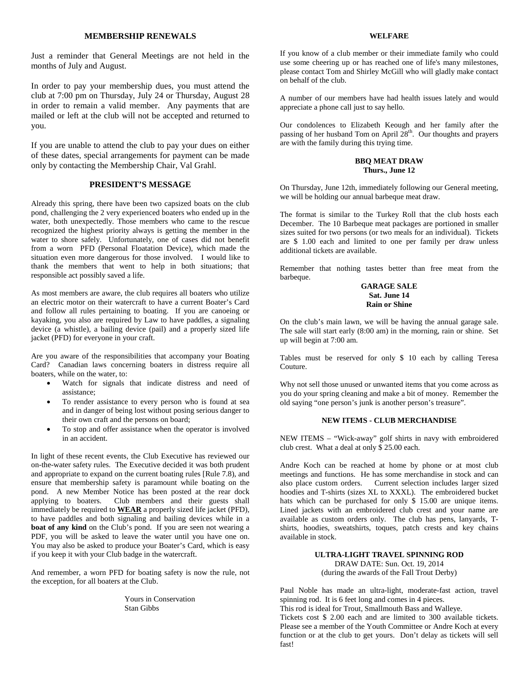# **MEMBERSHIP RENEWALS**

Just a reminder that General Meetings are not held in the months of July and August.

In order to pay your membership dues, you must attend the club at 7:00 pm on Thursday, July 24 or Thursday, August 28 in order to remain a valid member. Any payments that are mailed or left at the club will not be accepted and returned to you.

If you are unable to attend the club to pay your dues on either of these dates, special arrangements for payment can be made only by contacting the Membership Chair, Val Grahl.

# **PRESIDENT'S MESSAGE**

Already this spring, there have been two capsized boats on the club pond, challenging the 2 very experienced boaters who ended up in the water, both unexpectedly. Those members who came to the rescue recognized the highest priority always is getting the member in the water to shore safely. Unfortunately, one of cases did not benefit from a worn PFD (Personal Floatation Device), which made the situation even more dangerous for those involved. I would like to thank the members that went to help in both situations; that responsible act possibly saved a life.

As most members are aware, the club requires all boaters who utilize an electric motor on their watercraft to have a current Boater's Card and follow all rules pertaining to boating. If you are canoeing or kayaking, you also are required by Law to have paddles, a signaling device (a whistle), a bailing device (pail) and a properly sized life jacket (PFD) for everyone in your craft.

Are you aware of the responsibilities that accompany your Boating Card? Canadian laws concerning boaters in distress require all boaters, while on the water, to:

- Watch for signals that indicate distress and need of assistance;
- To render assistance to every person who is found at sea and in danger of being lost without posing serious danger to their own craft and the persons on board;
- To stop and offer assistance when the operator is involved in an accident.

In light of these recent events, the Club Executive has reviewed our on-the-water safety rules. The Executive decided it was both prudent and appropriate to expand on the current boating rules [Rule 7.8), and ensure that membership safety is paramount while boating on the pond. A new Member Notice has been posted at the rear dock applying to boaters. Club members and their guests shall immediately be required to **WEAR** a properly sized life jacket (PFD), to have paddles and both signaling and bailing devices while in a **boat of any kind** on the Club's pond. If you are seen not wearing a PDF, you will be asked to leave the water until you have one on. You may also be asked to produce your Boater's Card, which is easy if you keep it with your Club badge in the watercraft.

And remember, a worn PFD for boating safety is now the rule, not the exception, for all boaters at the Club.

> Yours in Conservation Stan Gibbs

#### **WELFARE**

If you know of a club member or their immediate family who could use some cheering up or has reached one of life's many milestones, please contact Tom and Shirley McGill who will gladly make contact on behalf of the club.

A number of our members have had health issues lately and would appreciate a phone call just to say hello.

Our condolences to Elizabeth Keough and her family after the passing of her husband Tom on April 28<sup>th</sup>. Our thoughts and prayers are with the family during this trying time.

#### **BBQ MEAT DRAW Thurs., June 12**

On Thursday, June 12th, immediately following our General meeting, we will be holding our annual barbeque meat draw.

The format is similar to the Turkey Roll that the club hosts each December. The 10 Barbeque meat packages are portioned in smaller sizes suited for two persons (or two meals for an individual). Tickets are \$ 1.00 each and limited to one per family per draw unless additional tickets are available.

Remember that nothing tastes better than free meat from the barbeque.

#### **GARAGE SALE Sat. June 14 Rain or Shine**

On the club's main lawn, we will be having the annual garage sale. The sale will start early (8:00 am) in the morning, rain or shine. Set up will begin at 7:00 am.

Tables must be reserved for only \$ 10 each by calling Teresa Couture.

Why not sell those unused or unwanted items that you come across as you do your spring cleaning and make a bit of money. Remember the old saying "one person's junk is another person's treasure".

#### **NEW ITEMS - CLUB MERCHANDISE**

NEW ITEMS – "Wick-away" golf shirts in navy with embroidered club crest. What a deal at only \$ 25.00 each.

Andre Koch can be reached at home by phone or at most club meetings and functions. He has some merchandise in stock and can also place custom orders. Current selection includes larger sized hoodies and T-shirts (sizes XL to XXXL). The embroidered bucket hats which can be purchased for only \$ 15.00 are unique items. Lined jackets with an embroidered club crest and your name are available as custom orders only. The club has pens, lanyards, Tshirts, hoodies, sweatshirts, toques, patch crests and key chains available in stock.

# **ULTRA-LIGHT TRAVEL SPINNING ROD** DRAW DATE: Sun. Oct. 19, 2014 (during the awards of the Fall Trout Derby)

Paul Noble has made an ultra-light, moderate-fast action, travel spinning rod. It is 6 feet long and comes in 4 pieces.

This rod is ideal for Trout, Smallmouth Bass and Walleye.

Tickets cost \$ 2.00 each and are limited to 300 available tickets. Please see a member of the Youth Committee or Andre Koch at every function or at the club to get yours. Don't delay as tickets will sell fast!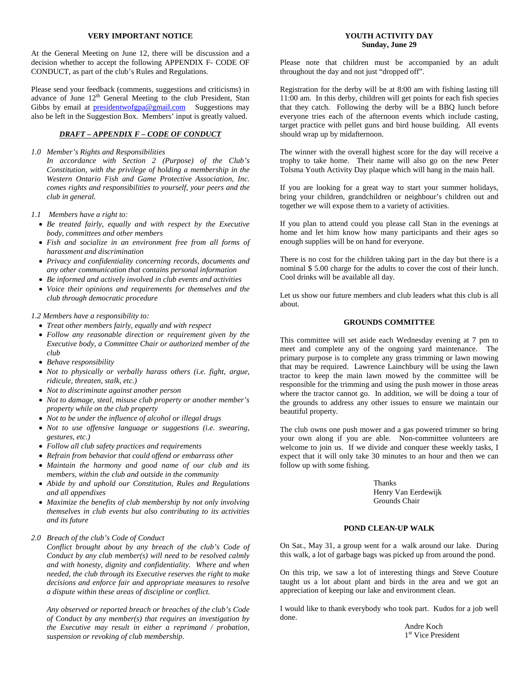#### **VERY IMPORTANT NOTICE**

At the General Meeting on June 12, there will be discussion and a decision whether to accept the following APPENDIX F- CODE OF CONDUCT, as part of the club's Rules and Regulations.

Please send your feedback (comments, suggestions and criticisms) in advance of June  $12<sup>th</sup>$  General Meeting to the club President, Stan Gibbs by email at [presidentwofgpa@gmail.com](mailto:presidentwofgpa@gmail.com) Suggestions may also be left in the Suggestion Box. Members' input is greatly valued.

# *DRAFT – APPENDIX F – CODE OF CONDUCT*

#### *1.0 Member's Rights and Responsibilities*

*In accordance with Section 2 (Purpose) of the Club's Constitution, with the privilege of holding a membership in the Western Ontario Fish and Game Protective Association, Inc. comes rights and responsibilities to yourself, your peers and the club in general.*

- *1.1 Members have a right to:*
	- *Be treated fairly, equally and with respect by the Executive body, committees and other members*
	- *Fish and socialize in an environment free from all forms of harassment and discrimination*
	- *Privacy and confidentiality concerning records, documents and any other communication that contains personal information*
	- *Be informed and actively involved in club events and activities*
	- *Voice their opinions and requirements for themselves and the club through democratic procedure*

#### *1.2 Members have a responsibility to:*

- *Treat other members fairly, equally and with respect*
- *Follow any reasonable direction or requirement given by the Executive body, a Committee Chair or authorized member of the club*
- *Behave responsibility*
- *Not to physically or verbally harass others (i.e. fight, argue, ridicule, threaten, stalk, etc.)*
- *Not to discriminate against another person*
- *Not to damage, steal, misuse club property or another member's property while on the club property*
- *Not to be under the influence of alcohol or illegal drugs*
- *Not to use offensive language or suggestions (i.e. swearing, gestures, etc.)*
- *Follow all club safety practices and requirements*
- *Refrain from behavior that could offend or embarrass other*
- *Maintain the harmony and good name of our club and its members, within the club and outside in the community*
- *Abide by and uphold our Constitution, Rules and Regulations and all appendixes*
- *Maximize the benefits of club membership by not only involving themselves in club events but also contributing to its activities and its future*

# *2.0 Breach of the club's Code of Conduct*

*Conflict brought about by any breach of the club's Code of Conduct by any club member(s) will need to be resolved calmly and with honesty, dignity and confidentiality. Where and when needed, the club through its Executive reserves the right to make decisions and enforce fair and appropriate measures to resolve a dispute within these areas of discipline or conflict.*

*Any observed or reported breach or breaches of the club's Code of Conduct by any member(s) that requires an investigation by the Executive may result in either a reprimand / probation, suspension or revoking of club membership.*

## **YOUTH ACTIVITY DAY Sunday, June 29**

Please note that children must be accompanied by an adult throughout the day and not just "dropped off".

Registration for the derby will be at 8:00 am with fishing lasting till 11:00 am. In this derby, children will get points for each fish species that they catch. Following the derby will be a BBQ lunch before everyone tries each of the afternoon events which include casting, target practice with pellet guns and bird house building. All events should wrap up by midafternoon.

The winner with the overall highest score for the day will receive a trophy to take home. Their name will also go on the new Peter Tolsma Youth Activity Day plaque which will hang in the main hall.

If you are looking for a great way to start your summer holidays, bring your children, grandchildren or neighbour's children out and together we will expose them to a variety of activities.

If you plan to attend could you please call Stan in the evenings at home and let him know how many participants and their ages so enough supplies will be on hand for everyone.

There is no cost for the children taking part in the day but there is a nominal \$ 5.00 charge for the adults to cover the cost of their lunch. Cool drinks will be available all day.

Let us show our future members and club leaders what this club is all about.

#### **GROUNDS COMMITTEE**

This committee will set aside each Wednesday evening at 7 pm to meet and complete any of the ongoing yard maintenance. The primary purpose is to complete any grass trimming or lawn mowing that may be required. Lawrence Lainchbury will be using the lawn tractor to keep the main lawn mowed by the committee will be responsible for the trimming and using the push mower in those areas where the tractor cannot go. In addition, we will be doing a tour of the grounds to address any other issues to ensure we maintain our beautiful property.

The club owns one push mower and a gas powered trimmer so bring your own along if you are able. Non-committee volunteers are welcome to join us. If we divide and conquer these weekly tasks, I expect that it will only take 30 minutes to an hour and then we can follow up with some fishing.

> Thanks Henry Van Eerdewijk Grounds Chair

# **POND CLEAN-UP WALK**

On Sat., May 31, a group went for a walk around our lake. During this walk, a lot of garbage bags was picked up from around the pond.

On this trip, we saw a lot of interesting things and Steve Couture taught us a lot about plant and birds in the area and we got an appreciation of keeping our lake and environment clean.

I would like to thank everybody who took part. Kudos for a job well done.

> Andre Koch 1<sup>st</sup> Vice President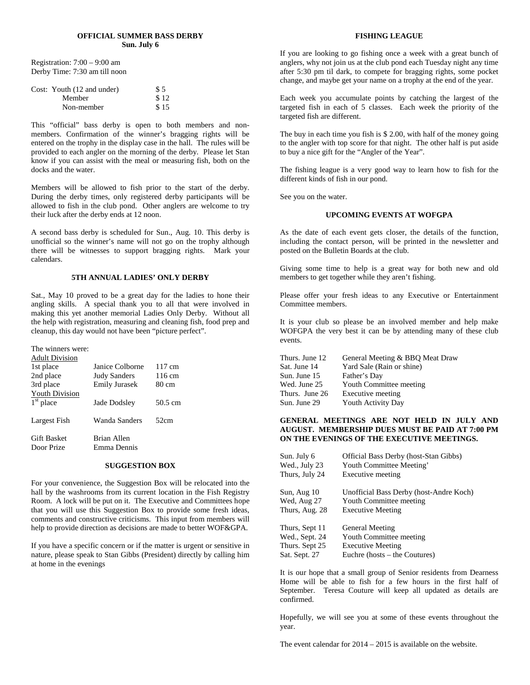#### **OFFICIAL SUMMER BASS DERBY Sun. July 6**

Registration: 7:00 – 9:00 am Derby Time: 7:30 am till noon

| Cost: Youth (12 and under) | \$5  |
|----------------------------|------|
| Member                     | \$12 |
| Non-member                 | \$15 |

This "official" bass derby is open to both members and nonmembers. Confirmation of the winner's bragging rights will be entered on the trophy in the display case in the hall. The rules will be provided to each angler on the morning of the derby. Please let Stan know if you can assist with the meal or measuring fish, both on the docks and the water.

Members will be allowed to fish prior to the start of the derby. During the derby times, only registered derby participants will be allowed to fish in the club pond. Other anglers are welcome to try their luck after the derby ends at 12 noon.

A second bass derby is scheduled for Sun., Aug. 10. This derby is unofficial so the winner's name will not go on the trophy although there will be witnesses to support bragging rights. Mark your calendars.

# **5TH ANNUAL LADIES' ONLY DERBY**

Sat., May 10 proved to be a great day for the ladies to hone their angling skills. A special thank you to all that were involved in making this yet another memorial Ladies Only Derby. Without all the help with registration, measuring and cleaning fish, food prep and cleanup, this day would not have been "picture perfect".

| The winners were:                |                            |                  |
|----------------------------------|----------------------------|------------------|
| <b>Adult Division</b>            |                            |                  |
| 1st place                        | Janice Colborne            | $117 \text{ cm}$ |
| 2nd place                        | <b>Judy Sanders</b>        | 116 cm           |
| 3rd place                        | <b>Emily Jurasek</b>       | 80 cm            |
| <b>Youth Division</b>            |                            |                  |
| $1st$ place                      | Jade Dodsley               | 50.5 cm          |
| Largest Fish                     | Wanda Sanders              | 52cm             |
| <b>Gift Basket</b><br>Door Prize | Brian Allen<br>Emma Dennis |                  |

#### **SUGGESTION BOX**

For your convenience, the Suggestion Box will be relocated into the hall by the washrooms from its current location in the Fish Registry Room. A lock will be put on it. The Executive and Committees hope that you will use this Suggestion Box to provide some fresh ideas, comments and constructive criticisms. This input from members will help to provide direction as decisions are made to better WOF&GPA.

If you have a specific concern or if the matter is urgent or sensitive in nature, please speak to Stan Gibbs (President) directly by calling him at home in the evenings

#### **FISHING LEAGUE**

If you are looking to go fishing once a week with a great bunch of anglers, why not join us at the club pond each Tuesday night any time after 5:30 pm til dark, to compete for bragging rights, some pocket change, and maybe get your name on a trophy at the end of the year.

Each week you accumulate points by catching the largest of the targeted fish in each of 5 classes. Each week the priority of the targeted fish are different.

The buy in each time you fish is \$ 2.00, with half of the money going to the angler with top score for that night. The other half is put aside to buy a nice gift for the "Angler of the Year".

The fishing league is a very good way to learn how to fish for the different kinds of fish in our pond.

See you on the water.

#### **UPCOMING EVENTS AT WOFGPA**

As the date of each event gets closer, the details of the function, including the contact person, will be printed in the newsletter and posted on the Bulletin Boards at the club.

Giving some time to help is a great way for both new and old members to get together while they aren't fishing.

Please offer your fresh ideas to any Executive or Entertainment Committee members.

It is your club so please be an involved member and help make WOFGPA the very best it can be by attending many of these club events.

| Thurs. June 12 | General Meeting & BBQ Meat Draw |
|----------------|---------------------------------|
| Sat. June 14   | Yard Sale (Rain or shine)       |
| Sun. June 15   | Father's Day                    |
| Wed. June 25   | Youth Committee meeting         |
| Thurs. June 26 | Executive meeting               |
| Sun. June 29   | <b>Youth Activity Day</b>       |

# **GENERAL MEETINGS ARE NOT HELD IN JULY AND AUGUST. MEMBERSHIP DUES MUST BE PAID AT 7:00 PM ON THE EVENINGS OF THE EXECUTIVE MEETINGS.**

| Sun. July 6    | Official Bass Derby (host-Stan Gibbs)   |
|----------------|-----------------------------------------|
| Wed., July 23  | Youth Committee Meeting'                |
| Thurs, July 24 | Executive meeting                       |
| Sun, Aug 10    | Unofficial Bass Derby (host-Andre Koch) |
| Wed, Aug 27    | Youth Committee meeting                 |
| Thurs, Aug. 28 | <b>Executive Meeting</b>                |
| Thurs, Sept 11 | <b>General Meeting</b>                  |
| Wed., Sept. 24 | Youth Committee meeting                 |
| Thurs. Sept 25 | <b>Executive Meeting</b>                |
| Sat. Sept. 27  | Euchre (hosts – the Coutures)           |

It is our hope that a small group of Senior residents from Dearness Home will be able to fish for a few hours in the first half of September. Teresa Couture will keep all updated as details are confirmed.

Hopefully, we will see you at some of these events throughout the year.

The event calendar for 2014 – 2015 is available on the website.